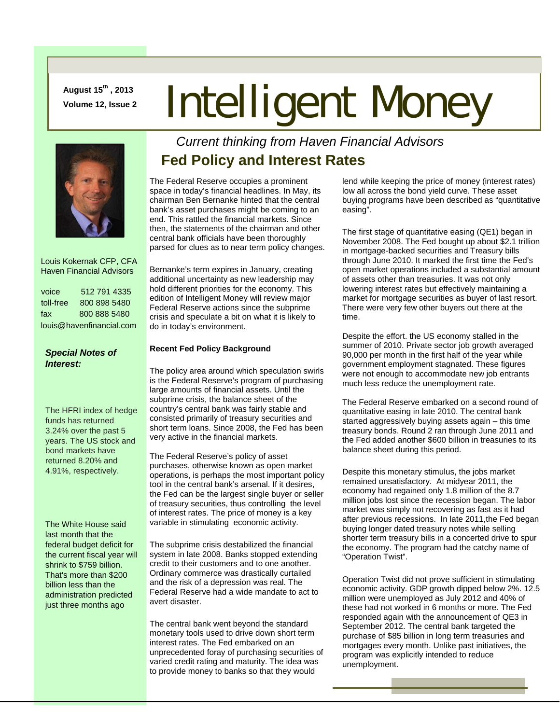**August 15th , 2013** 

# August 15<sup>er</sup>, 2013<br>Volume 12, Issue 2 **Intelligent Money**



 Louis Kokernak CFP, CFA Haven Financial Advisors

| voice                    | 512 791 4335 |
|--------------------------|--------------|
| toll-free                | 800 898 5480 |
| fax                      | 800 888 5480 |
| louis@havenfinancial.com |              |

# *Special Notes of Interest:*

The HFRI index of hedge funds has returned 3.24% over the past 5 years. The US stock and bond markets have returned 8.20% and 4.91%, respectively.

The White House said last month that the federal budget deficit for the current fiscal year will shrink to \$759 billion. That's more than \$200 billion less than the administration predicted just three months ago

# *Current thinking from Haven Financial Advisors*  **Fed Policy and Interest Rates**

The Federal Reserve occupies a prominent space in today's financial headlines. In May, its chairman Ben Bernanke hinted that the central bank's asset purchases might be coming to an end. This rattled the financial markets. Since then, the statements of the chairman and other central bank officials have been thoroughly parsed for clues as to near term policy changes.

Bernanke's term expires in January, creating additional uncertainty as new leadership may hold different priorities for the economy. This edition of Intelligent Money will review major Federal Reserve actions since the subprime crisis and speculate a bit on what it is likely to do in today's environment.

## **Recent Fed Policy Background**

The policy area around which speculation swirls is the Federal Reserve's program of purchasing large amounts of financial assets. Until the subprime crisis, the balance sheet of the country's central bank was fairly stable and consisted primarily of treasury securities and short term loans. Since 2008, the Fed has been very active in the financial markets.

The Federal Reserve's policy of asset purchases, otherwise known as open market operations, is perhaps the most important policy tool in the central bank's arsenal. If it desires, the Fed can be the largest single buyer or seller of treasury securities, thus controlling the level of interest rates. The price of money is a key variable in stimulating economic activity.

The subprime crisis destabilized the financial system in late 2008. Banks stopped extending credit to their customers and to one another. Ordinary commerce was drastically curtailed and the risk of a depression was real. The Federal Reserve had a wide mandate to act to avert disaster.

The central bank went beyond the standard monetary tools used to drive down short term interest rates. The Fed embarked on an unprecedented foray of purchasing securities of varied credit rating and maturity. The idea was to provide money to banks so that they would

lend while keeping the price of money (interest rates) low all across the bond yield curve. These asset buying programs have been described as "quantitative easing".

The first stage of quantitative easing (QE1) began in November 2008. The Fed bought up about \$2.1 trillion in mortgage-backed securities and Treasury bills through June 2010. It marked the first time the Fed's open market operations included a substantial amount of assets other than treasuries. It was not only lowering interest rates but effectively maintaining a market for mortgage securities as buyer of last resort. There were very few other buyers out there at the time.

Despite the effort. the US economy stalled in the summer of 2010. Private sector job growth averaged 90,000 per month in the first half of the year while government employment stagnated. These figures were not enough to accommodate new job entrants much less reduce the unemployment rate.

The Federal Reserve embarked on a second round of quantitative easing in late 2010. The central bank started aggressively buying assets again – this time treasury bonds. Round 2 ran through June 2011 and the Fed added another \$600 billion in treasuries to its balance sheet during this period.

Despite this monetary stimulus, the jobs market remained unsatisfactory. At midyear 2011, the economy had regained only 1.8 million of the 8.7 million jobs lost since the recession began. The labor market was simply not recovering as fast as it had after previous recessions. In late 2011,the Fed began buying longer dated treasury notes while selling shorter term treasury bills in a concerted drive to spur the economy. The program had the catchy name of "Operation Twist".

Operation Twist did not prove sufficient in stimulating economic activity. GDP growth dipped below 2%. 12.5 million were unemployed as July 2012 and 40% of these had not worked in 6 months or more. The Fed responded again with the announcement of QE3 in September 2012. The central bank targeted the purchase of \$85 billion in long term treasuries and mortgages every month. Unlike past initiatives, the program was explicitly intended to reduce unemployment.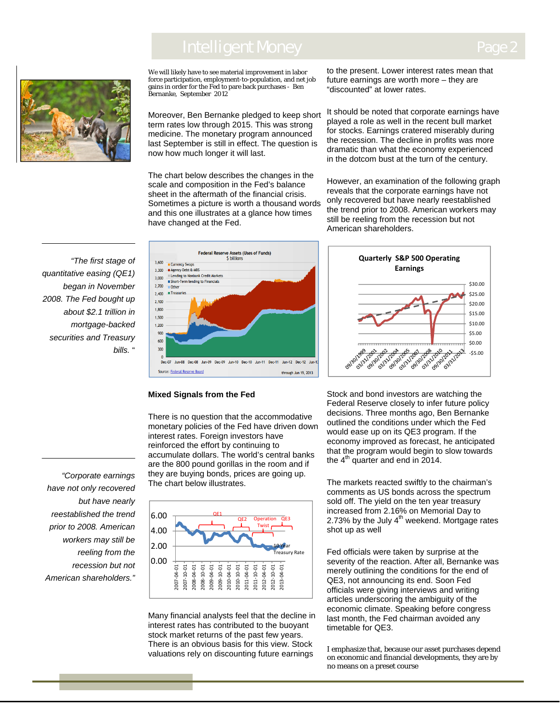# Intelligent Money



We will likely have to see material improvement in labor force participation, employment-to-population, and net job gains in order for the Fed to pare back purchases - Ben Bernanke, September 2012

Moreover, Ben Bernanke pledged to keep short term rates low through 2015. This was strong medicine. The monetary program announced last September is still in effect. The question is now how much longer it will last.

The chart below describes the changes in the scale and composition in the Fed's balance sheet in the aftermath of the financial crisis. Sometimes a picture is worth a thousand words and this one illustrates at a glance how times have changed at the Fed.

 *quantitative easing (QE1) securities and Treasury* Ī *"The first stage of began in November 2008. The Fed bought up about \$2.1 trillion in mortgage-backed bills.* "



#### **Mixed Signals from the Fed**

There is no question that the accommodative monetary policies of the Fed have driven down interest rates. Foreign investors have reinforced the effort by continuing to accumulate dollars. The world's central banks are the 800 pound gorillas in the room and if they are buying bonds, prices are going up. The chart below illustrates.



Many financial analysts feel that the decline in interest rates has contributed to the buoyant stock market returns of the past few years. There is an obvious basis for this view. Stock valuations rely on discounting future earnings

to the present. Lower interest rates mean that future earnings are worth more – they are "discounted" at lower rates.

It should be noted that corporate earnings have played a role as well in the recent bull market for stocks. Earnings cratered miserably during the recession. The decline in profits was more dramatic than what the economy experienced in the dotcom bust at the turn of the century.

However, an examination of the following graph reveals that the corporate earnings have not only recovered but have nearly reestablished the trend prior to 2008. American workers may still be reeling from the recession but not American shareholders.



Stock and bond investors are watching the Federal Reserve closely to infer future policy decisions. Three months ago, Ben Bernanke outlined the conditions under which the Fed would ease up on its QE3 program. If the economy improved as forecast, he anticipated that the program would begin to slow towards the  $4<sup>th</sup>$  quarter and end in 2014.

The markets reacted swiftly to the chairman's comments as US bonds across the spectrum sold off. The yield on the ten year treasury increased from 2.16% on Memorial Day to 2.73% by the July  $4<sup>th</sup>$  weekend. Mortgage rates shot up as well

Fed officials were taken by surprise at the severity of the reaction. After all, Bernanke was merely outlining the conditions for the end of QE3, not announcing its end. Soon Fed officials were giving interviews and writing articles underscoring the ambiguity of the economic climate. Speaking before congress last month, the Fed chairman avoided any timetable for QE3.

I emphasize that, because our asset purchases depend on economic and financial developments, they are by no means on a preset course

*"Corporate earnings have not only recovered but have nearly reestablished the trend prior to 2008. American workers may still be reeling from the recession but not American shareholders."*